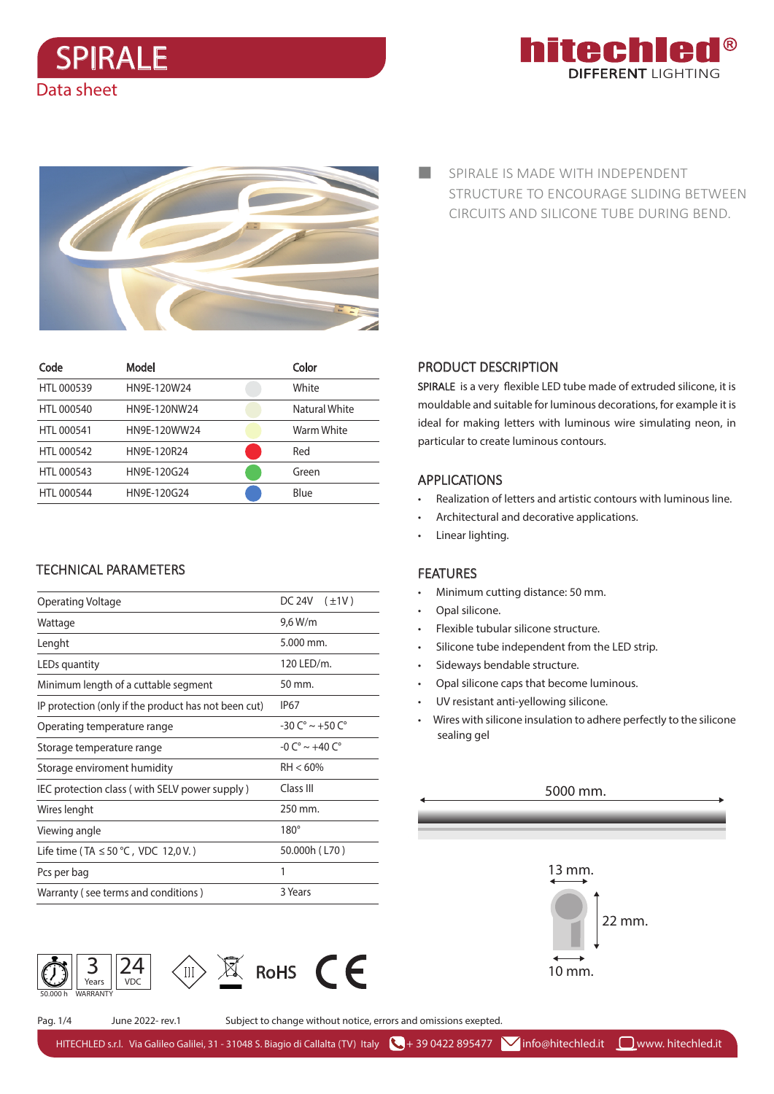Data sheet





| Code       | Model        | Color         |
|------------|--------------|---------------|
| HTL 000539 | HN9E-120W24  | White         |
| HTL 000540 | HN9E-120NW24 | Natural White |
| HTL 000541 | HN9F-120WW24 | Warm White    |
| HTL 000542 | HN9F-120R24  | Red           |
| HTL 000543 | HN9E-120G24  | Green         |
| HTL 000544 | HN9E-120G24  | Blue          |

# TECHNICAL PARAMETERS

| Operating Voltage                                    | DC 24V<br>$(\pm 1V)$               |  |  |  |
|------------------------------------------------------|------------------------------------|--|--|--|
| Wattage                                              | 9,6 W/m                            |  |  |  |
| Lenght                                               | 5.000 mm.                          |  |  |  |
| LEDs quantity                                        | 120 LED/m.                         |  |  |  |
| Minimum length of a cuttable segment                 | $50 \,\mathrm{mm}$ .               |  |  |  |
| IP protection (only if the product has not been cut) | IP <sub>67</sub>                   |  |  |  |
| Operating temperature range                          | $-30 C^{\circ} \sim +50 C^{\circ}$ |  |  |  |
| Storage temperature range                            | $-0 C^{\circ} \sim +40 C^{\circ}$  |  |  |  |
| Storage enviroment humidity                          | $RH < 60\%$                        |  |  |  |
| IEC protection class (with SELV power supply)        | Class III                          |  |  |  |
| Wires lenght                                         | 250 mm.                            |  |  |  |
| Viewing angle                                        | $180^\circ$                        |  |  |  |
| Life time (TA $\leq$ 50 °C, VDC 12,0 V.)             | 50.000h (L70)                      |  |  |  |
| Pcs per bag                                          | 1                                  |  |  |  |
| Warranty (see terms and conditions)                  | 3 Years                            |  |  |  |
|                                                      |                                    |  |  |  |



SPIRALE IS MADE WITH INDEPENDENT a s STRUCTURE TO ENCOURAGE SLIDING BETWEEN CIRCUITS AND SILICONE TUBE DURING BEND.

# PRODUCT DESCRIPTION

SPIRALE is a very flexible LED tube made of extruded silicone, it is mouldable and suitable for luminous decorations, for example it is ideal for making letters with luminous wire simulating neon, in particular to create luminous contours.

## APPLICATIONS

- Realization of letters and artistic contours with luminous line.
- Architectural and decorative applications.
- Linear lighting.

## FEATURES

- Minimum cutting distance: 50 mm.
- Opal silicone.
- Flexible tubular silicone structure.
- Silicone tube independent from the LED strip.
- Sideways bendable structure.
- Opal silicone caps that become luminous.
- UV resistant anti-yellowing silicone.
- Wires with silicone insulation to adhere perfectly to the silicone sealing gel

## 5000 mm.



Pag. 1/4 June 2022- rev.1 Subject to change without notice, errors and omissions exepted.

HITECHLED s.r.l. Via Galileo Galilei, 31 - 31048 S. Biagio di Callalta (TV) Italy  $\bigcup_i$  + 39 0422 895477  $\bigvee$  info@hitechled.it  $\bigcup_i$ www. hitechled.it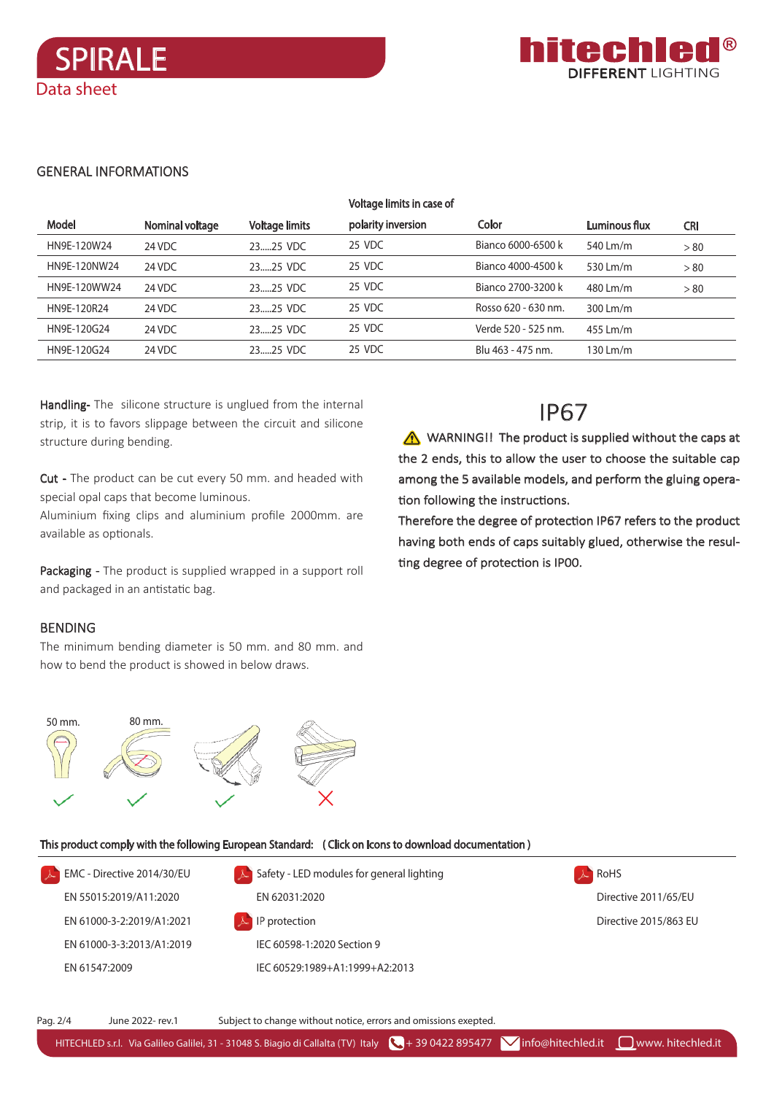Data sheet



#### **GENERAL INFORMATIONS**

**SPIRALE** 

|              |                 |                       | Voltage limits in case of |                     |               |            |
|--------------|-----------------|-----------------------|---------------------------|---------------------|---------------|------------|
| <b>Model</b> | Nominal voltage | <b>Voltage limits</b> | polarity inversion        | Color               | Luminous flux | <b>CRI</b> |
| HN9E-120W24  | 24 VDC          | 2325 VDC              | 25 VDC                    | Bianco 6000-6500 k  | 540 Lm/m      | > 80       |
| HN9E-120NW24 | 24 VDC          | 2325 VDC              | 25 VDC                    | Bianco 4000-4500 k  | 530 Lm/m      | > 80       |
| HN9E-120WW24 | 24 VDC          | 2325 VDC              | 25 VDC                    | Bianco 2700-3200 k  | 480 Lm/m      | > 80       |
| HN9E-120R24  | 24 VDC          | 2325 VDC              | 25 VDC                    | Rosso 620 - 630 nm. | 300 Lm/m      |            |
| HN9E-120G24  | 24 VDC          | 2325 VDC              | 25 VDC                    | Verde 520 - 525 nm. | 455 Lm/m      |            |
| HN9E-120G24  | 24 VDC          | 2325 VDC              | 25 VDC                    | Blu 463 - 475 nm.   | 130 Lm/m      |            |

Handling-The silicone structure is unglued from the internal strip, it is to favors slippage between the circuit and silicone structure during bending.

Cut - The product can be cut every 50 mm. and headed with special opal caps that become luminous.

Aluminium fixing clips and aluminium profile 2000mm. are available as optionals.

Packaging - The product is supplied wrapped in a support roll and packaged in an antistatic bag.

## **BENDING**

The minimum bending diameter is 50 mm. and 80 mm. and how to bend the product is showed in below draws.

# **IP67**

WARNING!! The product is supplied without the caps at the 2 ends, this to allow the user to choose the suitable cap among the 5 available models, and perform the gluing operation following the instructions.

Therefore the degree of protection IP67 refers to the product having both ends of caps suitably glued, otherwise the resulting degree of protection is IP00.



#### This product comply with the following European Standard: (Click on Icons to download documentation)

EMC - Directive 2014/30/EU  $\blacktriangle$  Safety - LED modules for general lighting  $A$  RoHS EN 55015:2019/A11:2020 EN 62031:2020 Directive 2011/65/EU EN 61000-3-22019/412021 IP protection Directive 2015/863 FU EN 61000-3-3:2013/A1:2019 IEC 60598-1:2020 Section 9 EN 61547:2009 IEC 60529:1989+A1:1999+A2:2013

Pag. 2/4 June 2022- rev.1 Subject to change without notice, errors and omissions exepted.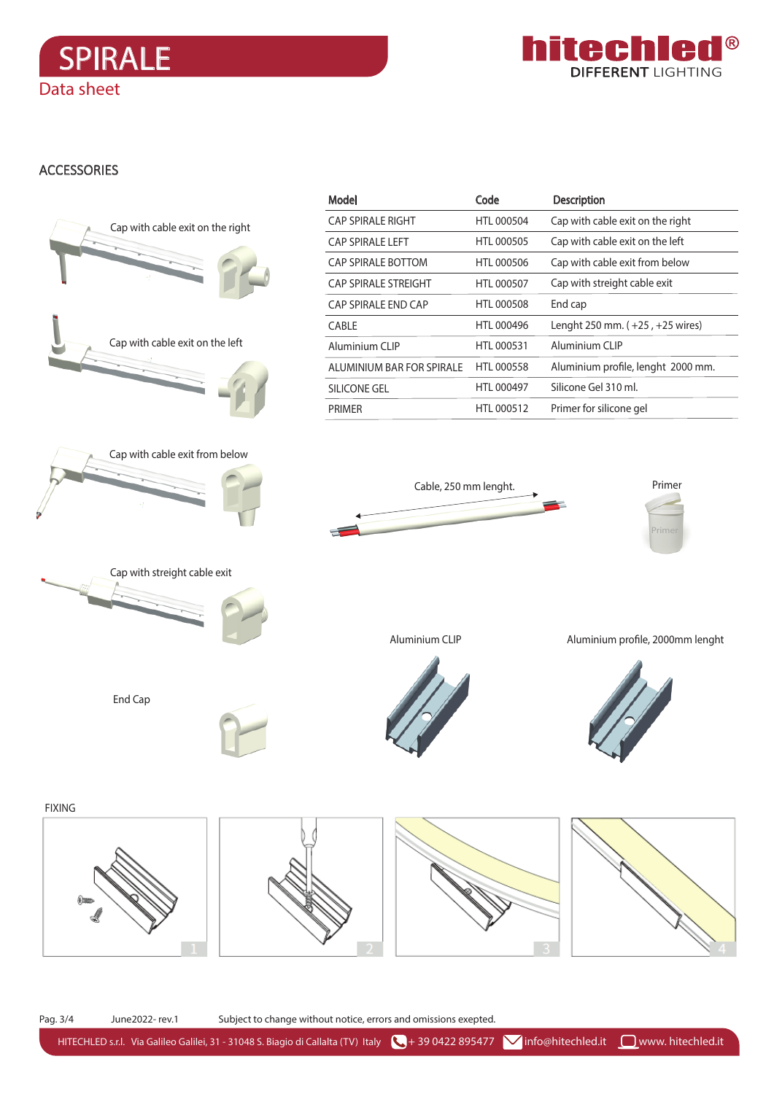



# **ACCESSORIES**



HITECHLED s.r.l. Via Galileo Galilei, 31 - 31048 S. Biagio di Callalta (TV) Italy 4 39 0422 895477 **V**info@hitechled.it <u>D</u>www. hitechled.it

Pag. 3/4 June2022- rev.1 Subject to change without notice, errors and omissions exepted.